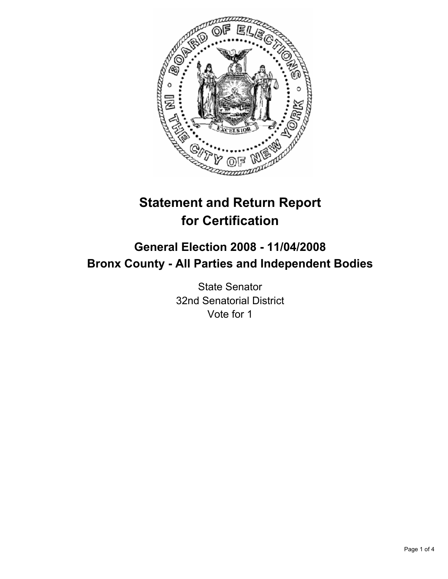

# **Statement and Return Report for Certification**

# **General Election 2008 - 11/04/2008 Bronx County - All Parties and Independent Bodies**

State Senator 32nd Senatorial District Vote for 1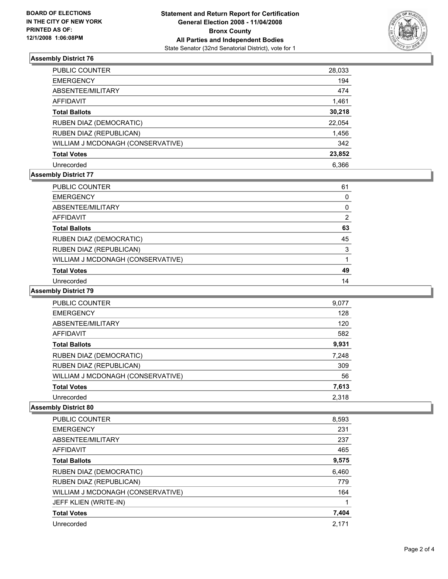

## **Assembly District 76**

| PUBLIC COUNTER                    | 28,033 |
|-----------------------------------|--------|
| <b>EMERGENCY</b>                  | 194    |
| ABSENTEE/MILITARY                 | 474    |
| AFFIDAVIT                         | 1,461  |
| <b>Total Ballots</b>              | 30,218 |
| RUBEN DIAZ (DEMOCRATIC)           | 22,054 |
| RUBEN DIAZ (REPUBLICAN)           | 1,456  |
| WILLIAM J MCDONAGH (CONSERVATIVE) | 342    |
| <b>Total Votes</b>                | 23,852 |
| Unrecorded                        | 6.366  |

# **Assembly District 77**

| PUBLIC COUNTER                    | 61 |
|-----------------------------------|----|
| <b>EMERGENCY</b>                  |    |
| ABSENTEE/MILITARY                 |    |
| AFFIDAVIT                         |    |
| <b>Total Ballots</b>              | 63 |
| RUBEN DIAZ (DEMOCRATIC)           | 45 |
| RUBEN DIAZ (REPUBLICAN)           |    |
| WILLIAM J MCDONAGH (CONSERVATIVE) |    |
| <b>Total Votes</b>                | 49 |
| Unrecorded                        | 14 |

#### **Assembly District 79**

| <b>PUBLIC COUNTER</b>             | 9,077 |  |
|-----------------------------------|-------|--|
| <b>EMERGENCY</b>                  | 128   |  |
| ABSENTEE/MILITARY                 | 120   |  |
| <b>AFFIDAVIT</b>                  | 582   |  |
| <b>Total Ballots</b>              | 9,931 |  |
| RUBEN DIAZ (DEMOCRATIC)           | 7,248 |  |
| RUBEN DIAZ (REPUBLICAN)           | 309   |  |
| WILLIAM J MCDONAGH (CONSERVATIVE) | 56    |  |
| <b>Total Votes</b>                | 7,613 |  |
| Unrecorded                        | 2,318 |  |

#### **Assembly District 80**

| <b>PUBLIC COUNTER</b>             | 8,593 |
|-----------------------------------|-------|
| <b>EMERGENCY</b>                  | 231   |
| ABSENTEE/MILITARY                 | 237   |
| AFFIDAVIT                         | 465   |
| <b>Total Ballots</b>              | 9,575 |
| RUBEN DIAZ (DEMOCRATIC)           | 6,460 |
| RUBEN DIAZ (REPUBLICAN)           | 779   |
| WILLIAM J MCDONAGH (CONSERVATIVE) | 164   |
| JEFF KLIEN (WRITE-IN)             |       |
| <b>Total Votes</b>                | 7,404 |
| Unrecorded                        | 2.171 |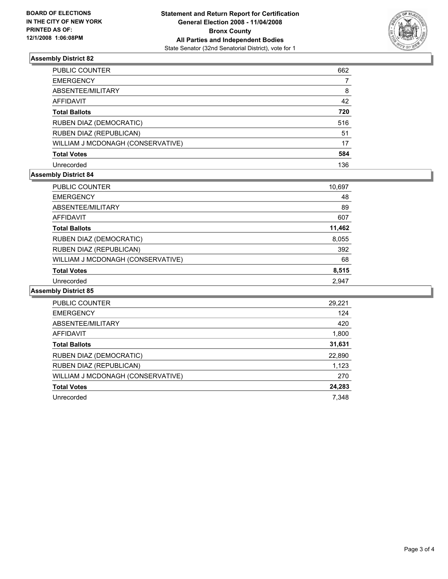

## **Assembly District 82**

| PUBLIC COUNTER                    | 662 |
|-----------------------------------|-----|
| <b>EMERGENCY</b>                  |     |
| ABSENTEE/MILITARY                 | 8   |
| <b>AFFIDAVIT</b>                  | 42  |
| <b>Total Ballots</b>              | 720 |
| RUBEN DIAZ (DEMOCRATIC)           | 516 |
| RUBEN DIAZ (REPUBLICAN)           | 51  |
| WILLIAM J MCDONAGH (CONSERVATIVE) | 17  |
| <b>Total Votes</b>                | 584 |
| Unrecorded                        | 136 |

## **Assembly District 84**

| <b>PUBLIC COUNTER</b>             | 10,697 |  |
|-----------------------------------|--------|--|
| <b>EMERGENCY</b>                  | 48     |  |
| ABSENTEE/MILITARY                 | 89     |  |
| AFFIDAVIT                         | 607    |  |
| <b>Total Ballots</b>              | 11,462 |  |
| RUBEN DIAZ (DEMOCRATIC)           | 8,055  |  |
| RUBEN DIAZ (REPUBLICAN)           | 392    |  |
| WILLIAM J MCDONAGH (CONSERVATIVE) | 68     |  |
| <b>Total Votes</b>                | 8,515  |  |
| Unrecorded                        | 2.947  |  |

#### **Assembly District 85**

| <b>PUBLIC COUNTER</b>             | 29,221 |
|-----------------------------------|--------|
| <b>EMERGENCY</b>                  | 124    |
| ABSENTEE/MILITARY                 | 420    |
| AFFIDAVIT                         | 1,800  |
| <b>Total Ballots</b>              | 31,631 |
| RUBEN DIAZ (DEMOCRATIC)           | 22,890 |
| RUBEN DIAZ (REPUBLICAN)           | 1,123  |
| WILLIAM J MCDONAGH (CONSERVATIVE) | 270    |
| <b>Total Votes</b>                | 24,283 |
| Unrecorded                        | 7,348  |